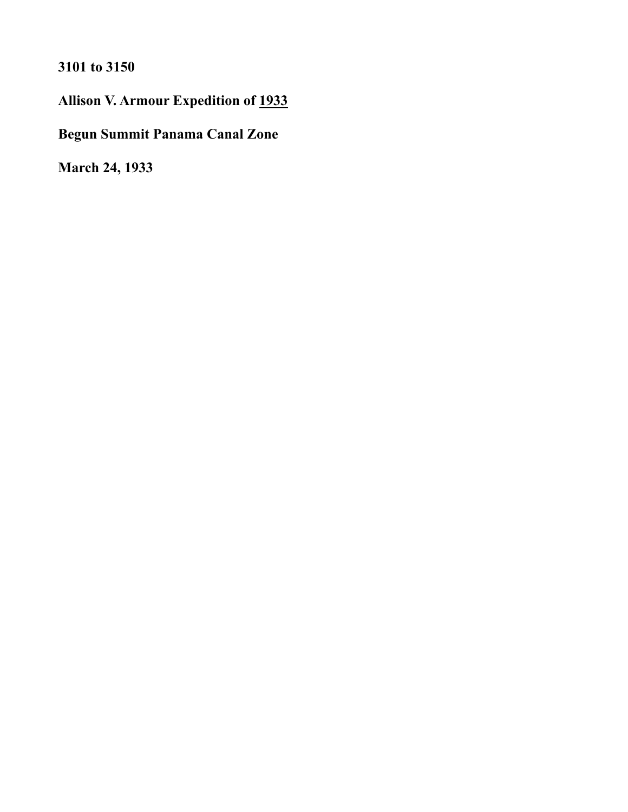**3101 to 3150** 

**Allison V. Armour Expedition of 1933** 

**Begun Summit Panama Canal Zone** 

**March 24, 1933**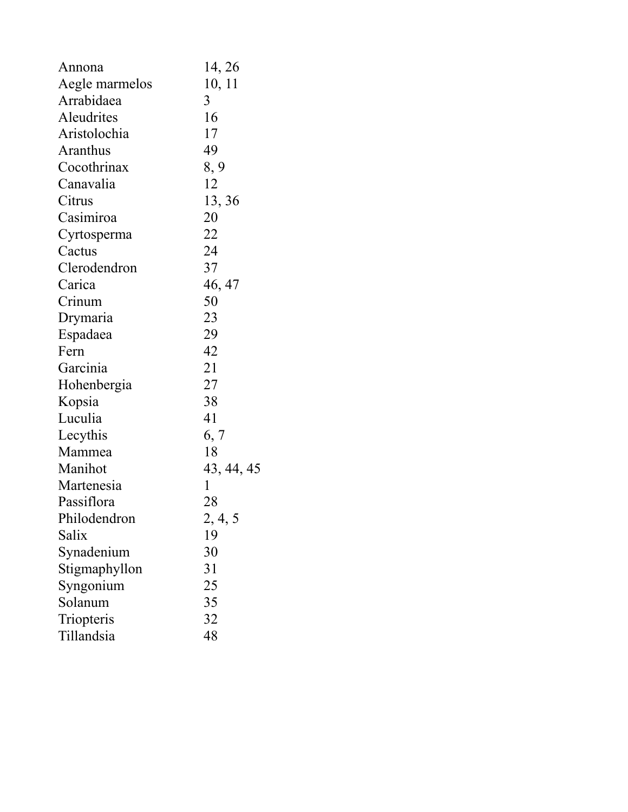| Annona         | 14, 26      |
|----------------|-------------|
| Aegle marmelos | 10, 11      |
| Arrabidaea     | 3           |
| Aleudrites     | 16          |
| Aristolochia   | 17          |
| Aranthus       | 49          |
| Cocothrinax    | 8, 9        |
| Canavalia      | 12          |
| Citrus         | 13, 36      |
| Casimiroa      | 20          |
| Cyrtosperma    | 22          |
| Cactus         | 24          |
| Clerodendron   | 37          |
| Carica         | 46, 47      |
| Crinum         | 50          |
| Drymaria       | 23          |
| Espadaea       | 29          |
| Fern           | 42          |
| Garcinia       | 21          |
| Hohenbergia    | 27          |
| Kopsia         | 38          |
| Luculia        | 41          |
| Lecythis       | 6, 7        |
| Mammea         | 18          |
| Manihot        | 43, 44, 45  |
| Martenesia     | $\mathbf 1$ |
| Passiflora     | 28          |
| Philodendron   | 2, 4, 5     |
| Salix          | 19          |
| Synadenium     | 30          |
| Stigmaphyllon  | 31          |
| Syngonium      | 25          |
| Solanum        | 35          |
| Triopteris     | 32          |
| Tillandsia     | 48          |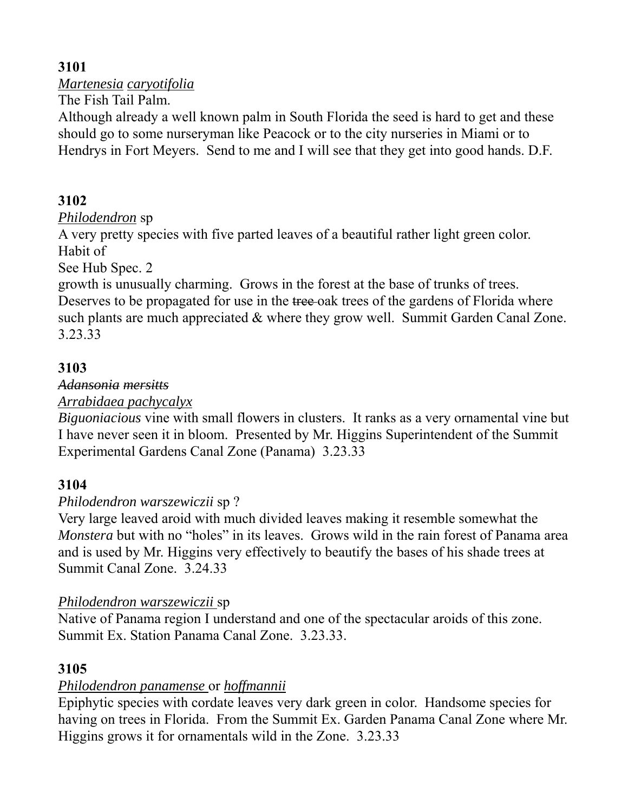*Martenesia caryotifolia* 

The Fish Tail Palm.

Although already a well known palm in South Florida the seed is hard to get and these should go to some nurseryman like Peacock or to the city nurseries in Miami or to Hendrys in Fort Meyers. Send to me and I will see that they get into good hands. D.F.

## **3102**

### *Philodendron* sp

A very pretty species with five parted leaves of a beautiful rather light green color. Habit of

See Hub Spec. 2

growth is unusually charming. Grows in the forest at the base of trunks of trees. Deserves to be propagated for use in the tree-oak trees of the gardens of Florida where such plants are much appreciated & where they grow well. Summit Garden Canal Zone. 3.23.33

## **3103**

### *Adansonia mersitts*

*Arrabidaea pachycalyx* 

*Biguoniacious* vine with small flowers in clusters. It ranks as a very ornamental vine but I have never seen it in bloom. Presented by Mr. Higgins Superintendent of the Summit Experimental Gardens Canal Zone (Panama) 3.23.33

### **3104**

### *Philodendron warszewiczii* sp ?

Very large leaved aroid with much divided leaves making it resemble somewhat the *Monstera* but with no "holes" in its leaves. Grows wild in the rain forest of Panama area and is used by Mr. Higgins very effectively to beautify the bases of his shade trees at Summit Canal Zone. 3.24.33

### *Philodendron warszewiczii* sp

Native of Panama region I understand and one of the spectacular aroids of this zone. Summit Ex. Station Panama Canal Zone. 3.23.33.

## **3105**

## *Philodendron panamense* or *hoffmannii*

Epiphytic species with cordate leaves very dark green in color. Handsome species for having on trees in Florida. From the Summit Ex. Garden Panama Canal Zone where Mr. Higgins grows it for ornamentals wild in the Zone. 3.23.33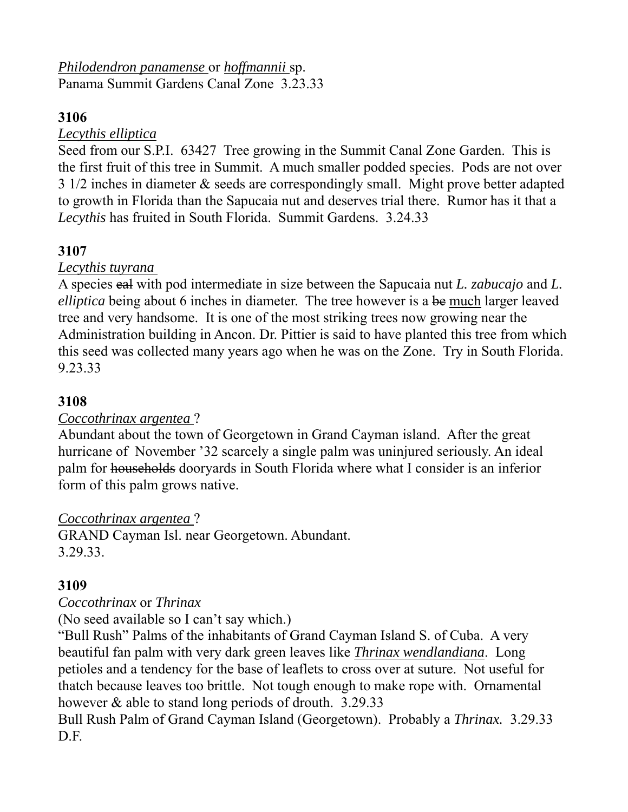*Philodendron panamense* or *hoffmannii* sp. Panama Summit Gardens Canal Zone 3.23.33

### **3106**

### *Lecythis elliptica*

Seed from our S.P.I. 63427 Tree growing in the Summit Canal Zone Garden. This is the first fruit of this tree in Summit. A much smaller podded species. Pods are not over 3 1/2 inches in diameter & seeds are correspondingly small. Might prove better adapted to growth in Florida than the Sapucaia nut and deserves trial there. Rumor has it that a *Lecythis* has fruited in South Florida. Summit Gardens. 3.24.33

## **3107**

### *Lecythis tuyrana*

A species eal with pod intermediate in size between the Sapucaia nut *L. zabucajo* and *L. elliptica* being about 6 inches in diameter. The tree however is a be much larger leaved tree and very handsome. It is one of the most striking trees now growing near the Administration building in Ancon. Dr. Pittier is said to have planted this tree from which this seed was collected many years ago when he was on the Zone. Try in South Florida. 9.23.33

### **3108**

### *Coccothrinax argentea* ?

Abundant about the town of Georgetown in Grand Cayman island. After the great hurricane of November '32 scarcely a single palm was uninjured seriously. An ideal palm for households dooryards in South Florida where what I consider is an inferior form of this palm grows native.

### *Coccothrinax argentea* ?

GRAND Cayman Isl. near Georgetown. Abundant. 3.29.33.

### **3109**

### *Coccothrinax* or *Thrinax*

(No seed available so I can't say which.)

"Bull Rush" Palms of the inhabitants of Grand Cayman Island S. of Cuba. A very beautiful fan palm with very dark green leaves like *Thrinax wendlandiana*. Long petioles and a tendency for the base of leaflets to cross over at suture. Not useful for thatch because leaves too brittle. Not tough enough to make rope with. Ornamental however & able to stand long periods of drouth. 3.29.33

Bull Rush Palm of Grand Cayman Island (Georgetown). Probably a *Thrinax.* 3.29.33 D.F.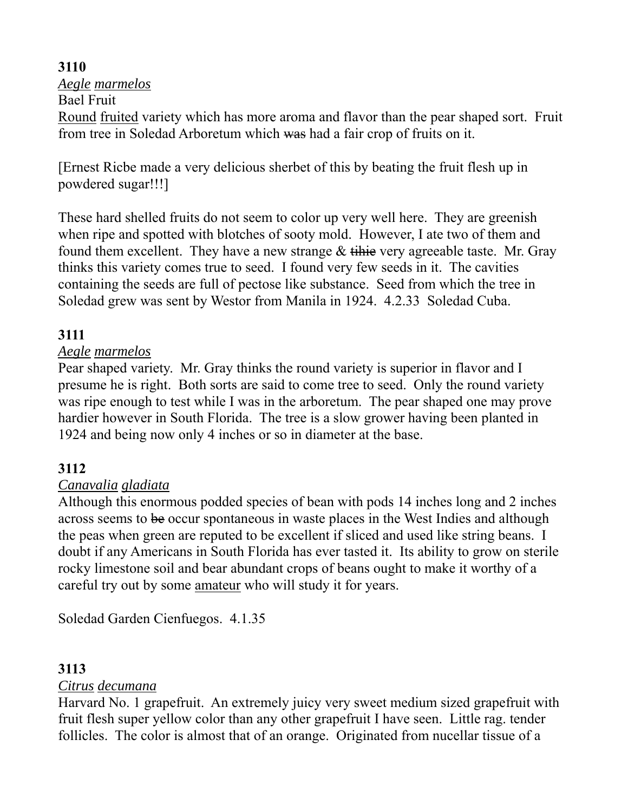*Aegle marmelos* 

Bael Fruit

Round fruited variety which has more aroma and flavor than the pear shaped sort. Fruit from tree in Soledad Arboretum which was had a fair crop of fruits on it.

[Ernest Ricbe made a very delicious sherbet of this by beating the fruit flesh up in powdered sugar!!!]

These hard shelled fruits do not seem to color up very well here. They are greenish when ripe and spotted with blotches of sooty mold. However, I ate two of them and found them excellent. They have a new strange  $&$  tihie very agreeable taste. Mr. Gray thinks this variety comes true to seed. I found very few seeds in it. The cavities containing the seeds are full of pectose like substance. Seed from which the tree in Soledad grew was sent by Westor from Manila in 1924. 4.2.33 Soledad Cuba.

# **3111**

### *Aegle marmelos*

Pear shaped variety. Mr. Gray thinks the round variety is superior in flavor and I presume he is right. Both sorts are said to come tree to seed. Only the round variety was ripe enough to test while I was in the arboretum. The pear shaped one may prove hardier however in South Florida. The tree is a slow grower having been planted in 1924 and being now only 4 inches or so in diameter at the base.

## **3112**

### *Canavalia gladiata*

Although this enormous podded species of bean with pods 14 inches long and 2 inches across seems to be occur spontaneous in waste places in the West Indies and although the peas when green are reputed to be excellent if sliced and used like string beans. I doubt if any Americans in South Florida has ever tasted it. Its ability to grow on sterile rocky limestone soil and bear abundant crops of beans ought to make it worthy of a careful try out by some amateur who will study it for years.

Soledad Garden Cienfuegos. 4.1.35

## **3113**

### *Citrus decumana*

Harvard No. 1 grapefruit. An extremely juicy very sweet medium sized grapefruit with fruit flesh super yellow color than any other grapefruit I have seen. Little rag. tender follicles. The color is almost that of an orange. Originated from nucellar tissue of a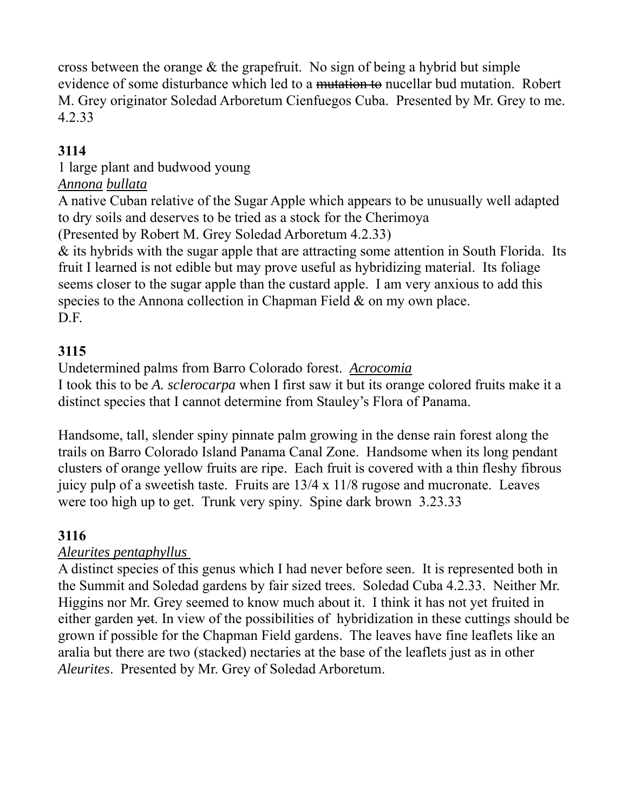cross between the orange & the grapefruit. No sign of being a hybrid but simple evidence of some disturbance which led to a mutation to nucellar bud mutation. Robert M. Grey originator Soledad Arboretum Cienfuegos Cuba. Presented by Mr. Grey to me. 4.2.33

# **3114**

# 1 large plant and budwood young

#### *Annona bullata*

A native Cuban relative of the Sugar Apple which appears to be unusually well adapted to dry soils and deserves to be tried as a stock for the Cherimoya

(Presented by Robert M. Grey Soledad Arboretum 4.2.33)

& its hybrids with the sugar apple that are attracting some attention in South Florida. Its fruit I learned is not edible but may prove useful as hybridizing material. Its foliage seems closer to the sugar apple than the custard apple. I am very anxious to add this species to the Annona collection in Chapman Field & on my own place. D.F.

## **3115**

Undetermined palms from Barro Colorado forest. *Acrocomia*

I took this to be *A. sclerocarpa* when I first saw it but its orange colored fruits make it a distinct species that I cannot determine from Stauley's Flora of Panama.

Handsome, tall, slender spiny pinnate palm growing in the dense rain forest along the trails on Barro Colorado Island Panama Canal Zone. Handsome when its long pendant clusters of orange yellow fruits are ripe. Each fruit is covered with a thin fleshy fibrous juicy pulp of a sweetish taste. Fruits are 13/4 x 11/8 rugose and mucronate. Leaves were too high up to get. Trunk very spiny. Spine dark brown 3.23.33

## **3116**

### *Aleurites pentaphyllus*

A distinct species of this genus which I had never before seen. It is represented both in the Summit and Soledad gardens by fair sized trees. Soledad Cuba 4.2.33. Neither Mr. Higgins nor Mr. Grey seemed to know much about it. I think it has not yet fruited in either garden yet. In view of the possibilities of hybridization in these cuttings should be grown if possible for the Chapman Field gardens. The leaves have fine leaflets like an aralia but there are two (stacked) nectaries at the base of the leaflets just as in other *Aleurites*. Presented by Mr. Grey of Soledad Arboretum.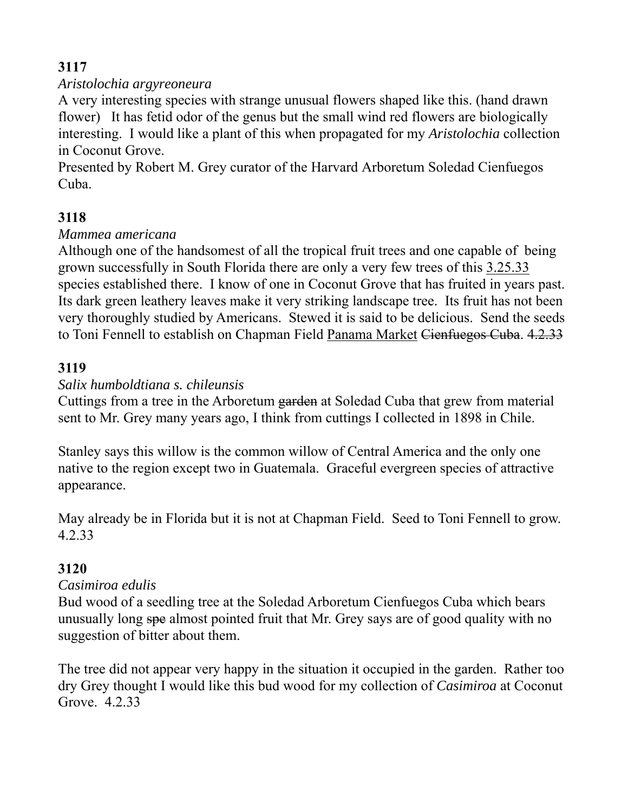### *Aristolochia argyreoneura*

A very interesting species with strange unusual flowers shaped like this. (hand drawn flower) It has fetid odor of the genus but the small wind red flowers are biologically interesting. I would like a plant of this when propagated for my *Aristolochia* collection in Coconut Grove.

Presented by Robert M. Grey curator of the Harvard Arboretum Soledad Cienfuegos Cuba.

## **3118**

### *Mammea americana*

Although one of the handsomest of all the tropical fruit trees and one capable of being grown successfully in South Florida there are only a very few trees of this 3.25.33 species established there. I know of one in Coconut Grove that has fruited in years past. Its dark green leathery leaves make it very striking landscape tree. Its fruit has not been very thoroughly studied by Americans. Stewed it is said to be delicious. Send the seeds to Toni Fennell to establish on Chapman Field Panama Market Cienfuegos Cuba. 4.2.33

### **3119**

### *Salix humboldtiana s. chileunsis*

Cuttings from a tree in the Arboretum garden at Soledad Cuba that grew from material sent to Mr. Grey many years ago, I think from cuttings I collected in 1898 in Chile.

Stanley says this willow is the common willow of Central America and the only one native to the region except two in Guatemala. Graceful evergreen species of attractive appearance.

May already be in Florida but it is not at Chapman Field. Seed to Toni Fennell to grow. 4.2.33

## **3120**

### *Casimiroa edulis*

Bud wood of a seedling tree at the Soledad Arboretum Cienfuegos Cuba which bears unusually long spe almost pointed fruit that Mr. Grey says are of good quality with no suggestion of bitter about them.

The tree did not appear very happy in the situation it occupied in the garden. Rather too dry Grey thought I would like this bud wood for my collection of *Casimiroa* at Coconut Grove. 4.2.33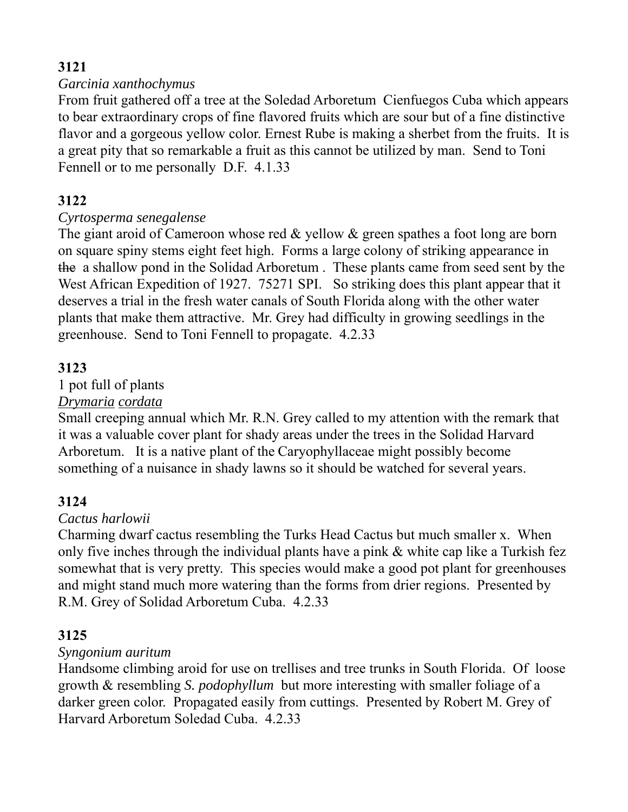#### *Garcinia xanthochymus*

From fruit gathered off a tree at the Soledad Arboretum Cienfuegos Cuba which appears to bear extraordinary crops of fine flavored fruits which are sour but of a fine distinctive flavor and a gorgeous yellow color. Ernest Rube is making a sherbet from the fruits. It is a great pity that so remarkable a fruit as this cannot be utilized by man. Send to Toni Fennell or to me personally D.F. 4.1.33

## **3122**

### *Cyrtosperma senegalense*

The giant aroid of Cameroon whose red & yellow & green spathes a foot long are born on square spiny stems eight feet high. Forms a large colony of striking appearance in the a shallow pond in the Solidad Arboretum . These plants came from seed sent by the West African Expedition of 1927. 75271 SPI. So striking does this plant appear that it deserves a trial in the fresh water canals of South Florida along with the other water plants that make them attractive. Mr. Grey had difficulty in growing seedlings in the greenhouse. Send to Toni Fennell to propagate. 4.2.33

### **3123**

#### 1 pot full of plants

#### *Drymaria cordata*

Small creeping annual which Mr. R.N. Grey called to my attention with the remark that it was a valuable cover plant for shady areas under the trees in the Solidad Harvard Arboretum. It is a native plant of the Caryophyllaceae might possibly become something of a nuisance in shady lawns so it should be watched for several years.

### **3124**

#### *Cactus harlowii*

Charming dwarf cactus resembling the Turks Head Cactus but much smaller x. When only five inches through the individual plants have a pink & white cap like a Turkish fez somewhat that is very pretty. This species would make a good pot plant for greenhouses and might stand much more watering than the forms from drier regions. Presented by R.M. Grey of Solidad Arboretum Cuba. 4.2.33

### **3125**

#### *Syngonium auritum*

Handsome climbing aroid for use on trellises and tree trunks in South Florida. Of loose growth & resembling *S. podophyllum* but more interesting with smaller foliage of a darker green color. Propagated easily from cuttings. Presented by Robert M. Grey of Harvard Arboretum Soledad Cuba. 4.2.33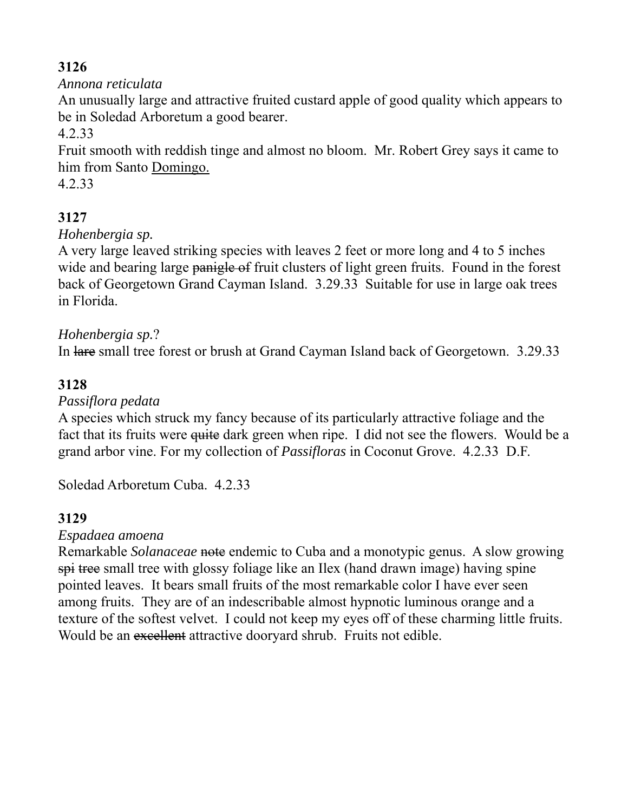### *Annona reticulata*

An unusually large and attractive fruited custard apple of good quality which appears to be in Soledad Arboretum a good bearer.

4.2.33

Fruit smooth with reddish tinge and almost no bloom. Mr. Robert Grey says it came to him from Santo Domingo.

4.2.33

# **3127**

### *Hohenbergia sp.*

A very large leaved striking species with leaves 2 feet or more long and 4 to 5 inches wide and bearing large panigle of fruit clusters of light green fruits. Found in the forest back of Georgetown Grand Cayman Island. 3.29.33 Suitable for use in large oak trees in Florida.

### *Hohenbergia sp.*?

In lare small tree forest or brush at Grand Cayman Island back of Georgetown. 3.29.33

### **3128**

#### *Passiflora pedata*

A species which struck my fancy because of its particularly attractive foliage and the fact that its fruits were <del>quite</del> dark green when ripe. I did not see the flowers. Would be a grand arbor vine. For my collection of *Passifloras* in Coconut Grove. 4.2.33 D.F.

Soledad Arboretum Cuba. 4.2.33

### **3129**

#### *Espadaea amoena*

Remarkable *Solanaceae* note endemic to Cuba and a monotypic genus. A slow growing spi tree small tree with glossy foliage like an Ilex (hand drawn image) having spine pointed leaves. It bears small fruits of the most remarkable color I have ever seen among fruits. They are of an indescribable almost hypnotic luminous orange and a texture of the softest velvet. I could not keep my eyes off of these charming little fruits. Would be an excellent attractive dooryard shrub. Fruits not edible.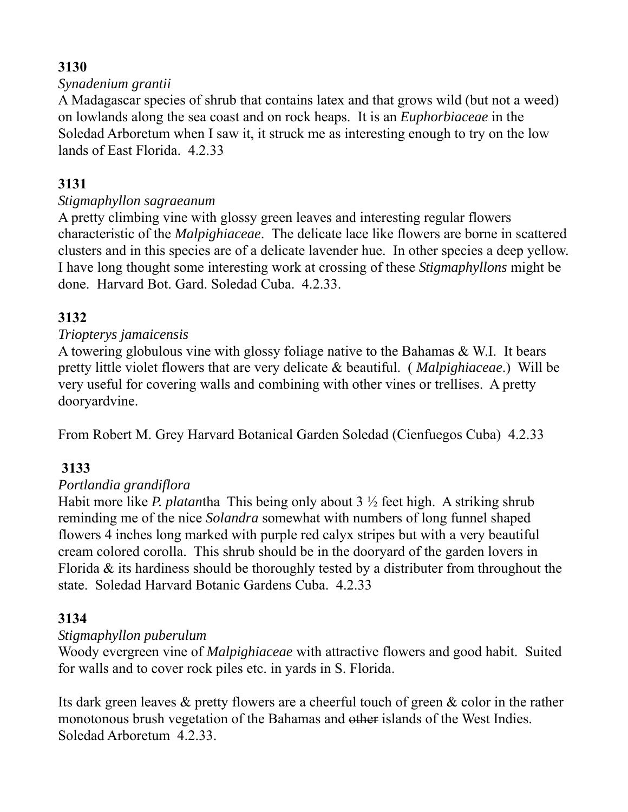#### *Synadenium grantii*

A Madagascar species of shrub that contains latex and that grows wild (but not a weed) on lowlands along the sea coast and on rock heaps. It is an *Euphorbiaceae* in the Soledad Arboretum when I saw it, it struck me as interesting enough to try on the low lands of East Florida. 4.2.33

## **3131**

#### *Stigmaphyllon sagraeanum*

A pretty climbing vine with glossy green leaves and interesting regular flowers characteristic of the *Malpighiaceae*. The delicate lace like flowers are borne in scattered clusters and in this species are of a delicate lavender hue. In other species a deep yellow. I have long thought some interesting work at crossing of these *Stigmaphyllons* might be done. Harvard Bot. Gard. Soledad Cuba. 4.2.33.

### **3132**

#### *Triopterys jamaicensis*

A towering globulous vine with glossy foliage native to the Bahamas & W.I. It bears pretty little violet flowers that are very delicate & beautiful. ( *Malpighiaceae*.) Will be very useful for covering walls and combining with other vines or trellises. A pretty dooryardvine.

From Robert M. Grey Harvard Botanical Garden Soledad (Cienfuegos Cuba) 4.2.33

### **3133**

#### *Portlandia grandiflora*

Habit more like *P. platan*tha This being only about 3 ½ feet high. A striking shrub reminding me of the nice *Solandra* somewhat with numbers of long funnel shaped flowers 4 inches long marked with purple red calyx stripes but with a very beautiful cream colored corolla. This shrub should be in the dooryard of the garden lovers in Florida & its hardiness should be thoroughly tested by a distributer from throughout the state. Soledad Harvard Botanic Gardens Cuba. 4.2.33

#### **3134**

#### *Stigmaphyllon puberulum*

Woody evergreen vine of *Malpighiaceae* with attractive flowers and good habit. Suited for walls and to cover rock piles etc. in yards in S. Florida.

Its dark green leaves & pretty flowers are a cheerful touch of green & color in the rather monotonous brush vegetation of the Bahamas and other islands of the West Indies. Soledad Arboretum 4.2.33.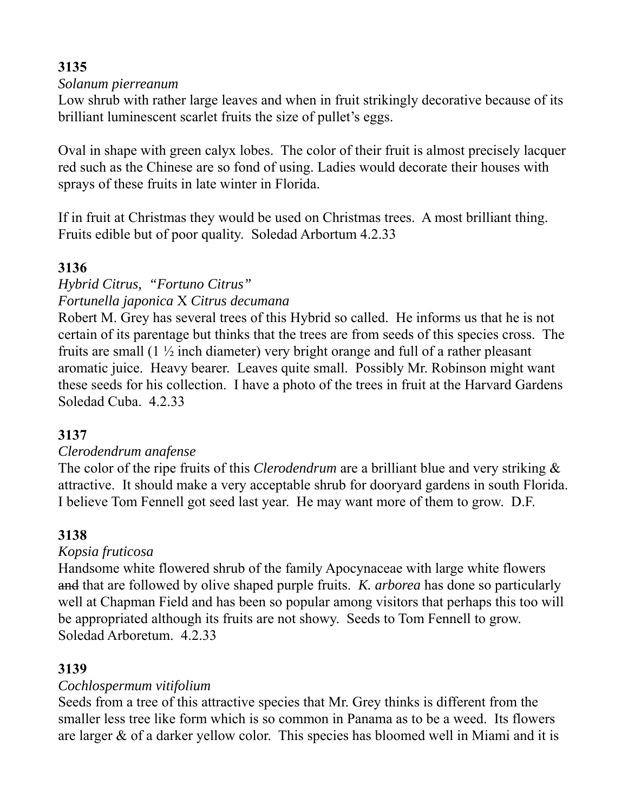#### *Solanum pierreanum*

Low shrub with rather large leaves and when in fruit strikingly decorative because of its brilliant luminescent scarlet fruits the size of pullet's eggs.

Oval in shape with green calyx lobes. The color of their fruit is almost precisely lacquer red such as the Chinese are so fond of using. Ladies would decorate their houses with sprays of these fruits in late winter in Florida.

If in fruit at Christmas they would be used on Christmas trees. A most brilliant thing. Fruits edible but of poor quality. Soledad Arbortum 4.2.33

### **3136**

#### *Hybrid Citrus, "Fortuno Citrus" Fortunella japonica* X *Citrus decumana*

Robert M. Grey has several trees of this Hybrid so called. He informs us that he is not certain of its parentage but thinks that the trees are from seeds of this species cross. The fruits are small (1 ½ inch diameter) very bright orange and full of a rather pleasant aromatic juice. Heavy bearer. Leaves quite small. Possibly Mr. Robinson might want these seeds for his collection. I have a photo of the trees in fruit at the Harvard Gardens Soledad Cuba. 4.2.33

## **3137**

#### *Clerodendrum anafense*

The color of the ripe fruits of this *Clerodendrum* are a brilliant blue and very striking & attractive. It should make a very acceptable shrub for dooryard gardens in south Florida. I believe Tom Fennell got seed last year. He may want more of them to grow. D.F.

### **3138**

### *Kopsia fruticosa*

Handsome white flowered shrub of the family Apocynaceae with large white flowers and that are followed by olive shaped purple fruits. *K. arborea* has done so particularly well at Chapman Field and has been so popular among visitors that perhaps this too will be appropriated although its fruits are not showy. Seeds to Tom Fennell to grow. Soledad Arboretum. 4.2.33

### **3139**

### *Cochlospermum vitifolium*

Seeds from a tree of this attractive species that Mr. Grey thinks is different from the smaller less tree like form which is so common in Panama as to be a weed. Its flowers are larger & of a darker yellow color. This species has bloomed well in Miami and it is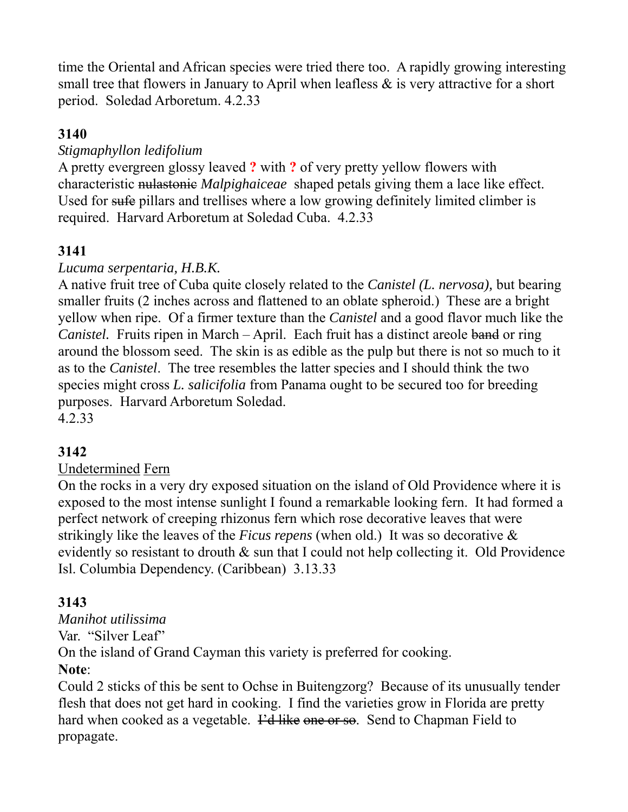time the Oriental and African species were tried there too. A rapidly growing interesting small tree that flowers in January to April when leafless  $\&$  is very attractive for a short period. Soledad Arboretum. 4.2.33

### **3140**

### *Stigmaphyllon ledifolium*

A pretty evergreen glossy leaved **?** with **?** of very pretty yellow flowers with characteristic nulastonic *Malpighaiceae* shaped petals giving them a lace like effect. Used for sufe pillars and trellises where a low growing definitely limited climber is required. Harvard Arboretum at Soledad Cuba. 4.2.33

### **3141**

#### *Lucuma serpentaria, H.B.K.*

A native fruit tree of Cuba quite closely related to the *Canistel (L. nervosa),* but bearing smaller fruits (2 inches across and flattened to an oblate spheroid.) These are a bright yellow when ripe. Of a firmer texture than the *Canistel* and a good flavor much like the *Canistel.* Fruits ripen in March – April. Each fruit has a distinct areole band or ring around the blossom seed. The skin is as edible as the pulp but there is not so much to it as to the *Canistel*. The tree resembles the latter species and I should think the two species might cross *L. salicifolia* from Panama ought to be secured too for breeding purposes. Harvard Arboretum Soledad. 4.2.33

#### **3142**

### Undetermined Fern

On the rocks in a very dry exposed situation on the island of Old Providence where it is exposed to the most intense sunlight I found a remarkable looking fern. It had formed a perfect network of creeping rhizonus fern which rose decorative leaves that were strikingly like the leaves of the *Ficus repens* (when old.) It was so decorative & evidently so resistant to drouth & sun that I could not help collecting it. Old Providence Isl. Columbia Dependency. (Caribbean) 3.13.33

### **3143**

*Manihot utilissima*  Var. "Silver Leaf" On the island of Grand Cayman this variety is preferred for cooking. **Note**:

Could 2 sticks of this be sent to Ochse in Buitengzorg? Because of its unusually tender flesh that does not get hard in cooking. I find the varieties grow in Florida are pretty hard when cooked as a vegetable. Fet like one or so. Send to Chapman Field to propagate.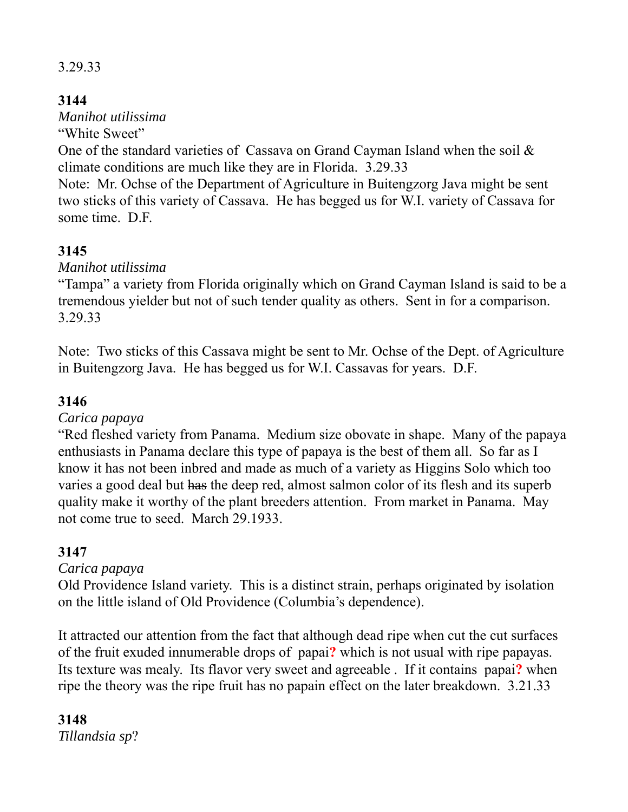### 3.29.33

## **3144**

*Manihot utilissima* 

"White Sweet"

One of the standard varieties of Cassava on Grand Cayman Island when the soil & climate conditions are much like they are in Florida. 3.29.33

Note: Mr. Ochse of the Department of Agriculture in Buitengzorg Java might be sent two sticks of this variety of Cassava. He has begged us for W.I. variety of Cassava for some time. D.F.

# **3145**

*Manihot utilissima* 

"Tampa" a variety from Florida originally which on Grand Cayman Island is said to be a tremendous yielder but not of such tender quality as others. Sent in for a comparison. 3.29.33

Note: Two sticks of this Cassava might be sent to Mr. Ochse of the Dept. of Agriculture in Buitengzorg Java. He has begged us for W.I. Cassavas for years. D.F.

## **3146**

*Carica papaya* 

"Red fleshed variety from Panama. Medium size obovate in shape. Many of the papaya enthusiasts in Panama declare this type of papaya is the best of them all. So far as I know it has not been inbred and made as much of a variety as Higgins Solo which too varies a good deal but has the deep red, almost salmon color of its flesh and its superb quality make it worthy of the plant breeders attention. From market in Panama. May not come true to seed. March 29.1933.

## **3147**

*Carica papaya* 

Old Providence Island variety. This is a distinct strain, perhaps originated by isolation on the little island of Old Providence (Columbia's dependence).

It attracted our attention from the fact that although dead ripe when cut the cut surfaces of the fruit exuded innumerable drops of papai**?** which is not usual with ripe papayas. Its texture was mealy. Its flavor very sweet and agreeable . If it contains papai**?** when ripe the theory was the ripe fruit has no papain effect on the later breakdown. 3.21.33

**3148**  *Tillandsia sp*?